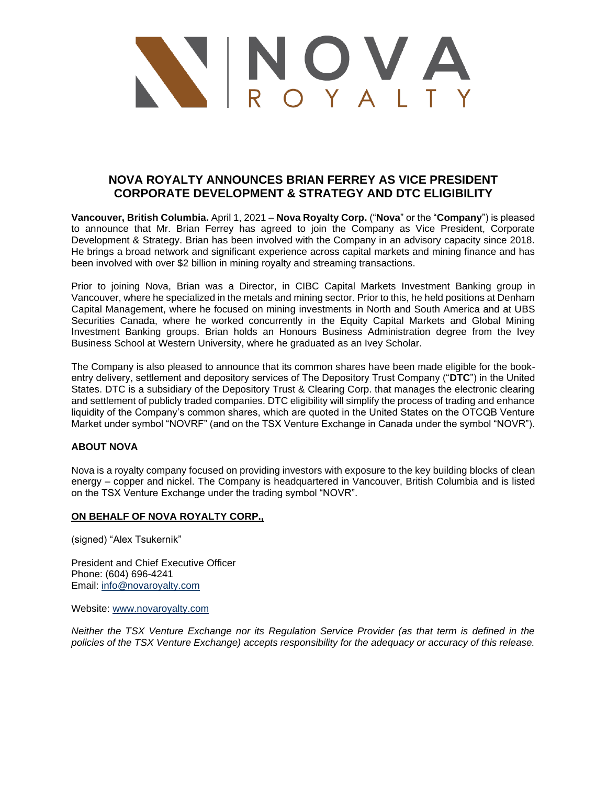

## **NOVA ROYALTY ANNOUNCES BRIAN FERREY AS VICE PRESIDENT CORPORATE DEVELOPMENT & STRATEGY AND DTC ELIGIBILITY**

**Vancouver, British Columbia.** April 1, 2021 – **Nova Royalty Corp.** ("**Nova**" or the "**Company**") is pleased to announce that Mr. Brian Ferrey has agreed to join the Company as Vice President, Corporate Development & Strategy. Brian has been involved with the Company in an advisory capacity since 2018. He brings a broad network and significant experience across capital markets and mining finance and has been involved with over \$2 billion in mining royalty and streaming transactions.

Prior to joining Nova, Brian was a Director, in CIBC Capital Markets Investment Banking group in Vancouver, where he specialized in the metals and mining sector. Prior to this, he held positions at Denham Capital Management, where he focused on mining investments in North and South America and at UBS Securities Canada, where he worked concurrently in the Equity Capital Markets and Global Mining Investment Banking groups. Brian holds an Honours Business Administration degree from the Ivey Business School at Western University, where he graduated as an Ivey Scholar.

The Company is also pleased to announce that its common shares have been made eligible for the bookentry delivery, settlement and depository services of The Depository Trust Company ("**DTC**") in the United States. DTC is a subsidiary of the Depository Trust & Clearing Corp. that manages the electronic clearing and settlement of publicly traded companies. DTC eligibility will simplify the process of trading and enhance liquidity of the Company's common shares, which are quoted in the United States on the OTCQB Venture Market under symbol "NOVRF" (and on the TSX Venture Exchange in Canada under the symbol "NOVR").

## **ABOUT NOVA**

Nova is a royalty company focused on providing investors with exposure to the key building blocks of clean energy – copper and nickel. The Company is headquartered in Vancouver, British Columbia and is listed on the TSX Venture Exchange under the trading symbol "NOVR".

## **ON BEHALF OF NOVA ROYALTY CORP.,**

(signed) "Alex Tsukernik"

President and Chief Executive Officer Phone: (604) 696-4241 Email: [info@novaroyalty.com](mailto:info@novaroyalty.com)

Website: [www.novaroyalty.com](http://www.novaroyalty.com/)

*Neither the TSX Venture Exchange nor its Regulation Service Provider (as that term is defined in the policies of the TSX Venture Exchange) accepts responsibility for the adequacy or accuracy of this release.*